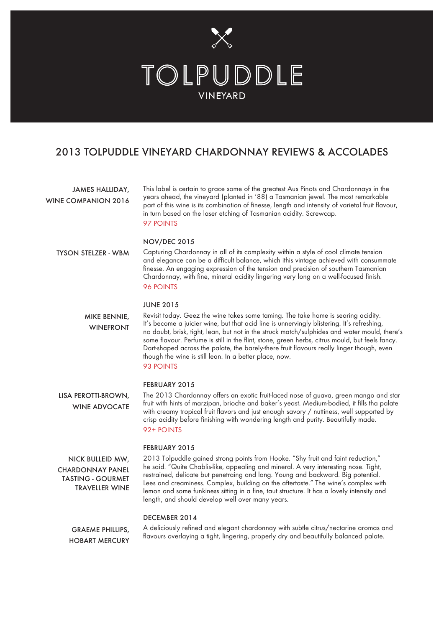

# 2013 TOLPUDDLE VINEYARD CHARDONNAY REVIEWS & ACCOLADES